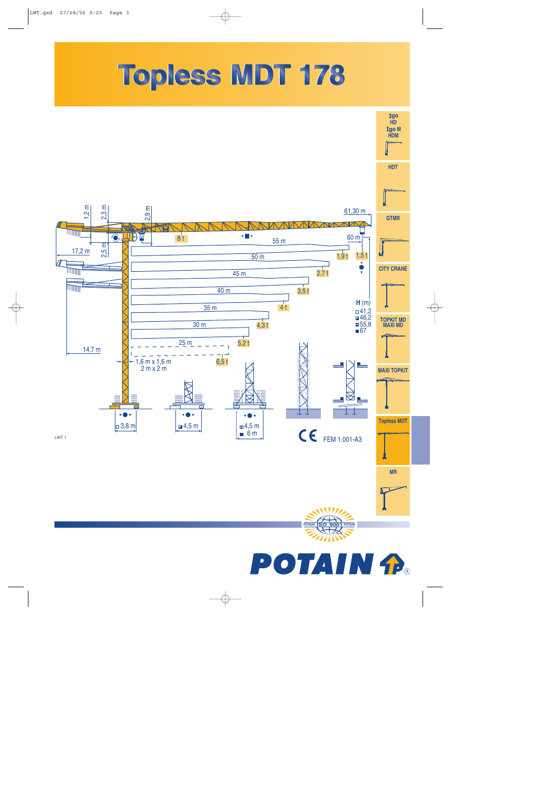## Topless MDT 178

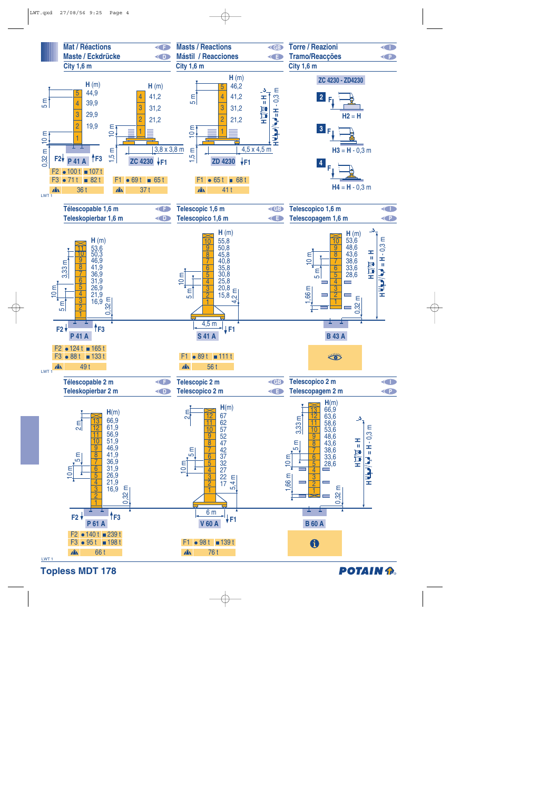

**Topless MDT 178** 

## **POTAIN P.**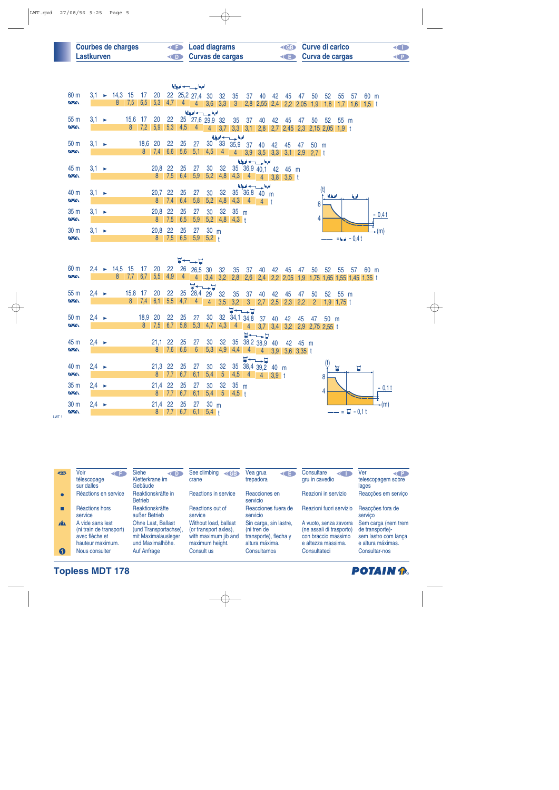| <b>Courbes de charges</b> | <b>Example 2</b> Load diagrams | <b>ED</b> Curve di carico | <b>KID</b> |
|---------------------------|--------------------------------|---------------------------|------------|
| Lastkurven                | <b>Curvas de cargas</b>        | <b>E</b> Curva de cargas  | <b>CP</b>  |

|                                              |                   |                                 |     |                |                |               |                | الملجعا حسب لحيا         |                 |                         |                  |              |                                                |    |           |    |                |                |                |                                             |         |          |
|----------------------------------------------|-------------------|---------------------------------|-----|----------------|----------------|---------------|----------------|--------------------------|-----------------|-------------------------|------------------|--------------|------------------------------------------------|----|-----------|----|----------------|----------------|----------------|---------------------------------------------|---------|----------|
| 60 m                                         |                   | $3,1 \rightarrow 14,3 \quad 15$ |     | 17             |                |               |                | 20 22 25,2 27,4 30 32 35 |                 |                         |                  | 37           | 40                                             | 42 | 45        | 47 | 50             | 52             | 55             | 57                                          | 60 m    |          |
| $\sqrt{N}$                                   |                   | 8                               | 7,5 | 6,5            | 5,3            |               |                | $4,7$ 4 4 3,6 3,3        |                 |                         | 3 <sup>7</sup>   |              | 2,8 2,55 2,4 2,2 2,05                          |    |           |    | 1,9            | 1,8            | 1,7            | $1,6$ 1,5 t                                 |         |          |
|                                              |                   |                                 |     |                |                |               |                | الملحة حسيدها            |                 |                         |                  |              |                                                |    |           |    |                |                |                |                                             |         |          |
| 55 m<br>$\sqrt{N}$                           | $3.1 \rightarrow$ |                                 | 8   | 15,6 17<br>7,2 | 20<br>5,9      | 22<br>5,3     | 4,5            | 25 27,6 29,9 32<br>4     | $\overline{4}$  | 3,7                     | 35               | 37           | 40<br>3,3 3,1 2,8 2,7 2,45 2,3 2,15 2,05 1,9 t | 42 | 45        | 47 | 50             |                | 52 55 m        |                                             |         |          |
|                                              |                   |                                 |     |                |                |               |                |                          |                 |                         | الملجعا حسب لحيا |              |                                                |    |           |    |                |                |                |                                             |         |          |
| 50 m                                         | $3,1 \rightarrow$ |                                 |     | 18,6 20        |                | 22            | 25             | 27                       | 30 <sub>o</sub> |                         |                  |              | 33 35,9 37 40 42                               |    | 45        | 47 | 50 m           |                |                |                                             |         |          |
| <b>AVA</b>                                   |                   |                                 |     |                | $8 \quad 7,4$  | 6,6           | 5,6            | 5,1                      | 4,5             | 4 <sup>1</sup>          | $\overline{4}$   |              |                                                |    |           |    |                |                |                |                                             |         |          |
|                                              |                   |                                 |     |                | 20.8           |               |                |                          |                 |                         |                  |              | الملحة وسيدادها                                |    |           |    |                |                |                |                                             |         |          |
| 45 <sub>m</sub><br>$\overline{\wedge}\wedge$ | $3,1 \rightarrow$ |                                 |     |                | 8              | 22<br>7,5     | 25<br>6.4      | 27<br>5,9                | 30              | 32<br>$5,2$ 4,8         |                  |              | 35 36,9 40,1 42<br>$4,3$ 4 4 3,8 3,5 t         |    | 45 m      |    |                |                |                |                                             |         |          |
|                                              |                   |                                 |     |                |                |               |                |                          |                 |                         |                  |              | الملحة حسيب لحيا                               |    |           |    |                |                |                |                                             |         |          |
| 40 m                                         | $3,1 \rightarrow$ |                                 |     |                | 20,7           | 22            | 25             | 27                       | 30              | 32                      |                  |              | 35 36,8 40 m                                   |    |           |    |                | (t)<br>أمعالما |                | امعا                                        |         |          |
| $\sqrt{N}$                                   |                   |                                 |     |                | 8 <sup>1</sup> | 7,4           | 6,4            | 5,8                      | 5,2             | 4,8                     |                  |              | $4,3$ 4 4 t                                    |    |           |    | 8              |                |                |                                             |         |          |
| 35 m                                         | $3,1 \rightarrow$ |                                 |     |                | 20,8           | 22            | 25             | 27                       | 30              | 32                      | 35 <sub>m</sub>  |              |                                                |    |           |    |                |                |                |                                             |         | $-0.4t$  |
| $\sqrt{N}$                                   |                   |                                 |     |                |                | $8 \quad 7,5$ | 6,5            | 5,9                      |                 |                         | $5,2$ 4,8 4,3 t  |              |                                                |    |           |    | 4              |                |                |                                             |         |          |
| 30 m                                         | $3.1 \rightarrow$ |                                 |     |                | 20,8           | 22            | 25             | 27                       | 30 <sub>m</sub> |                         |                  |              |                                                |    |           |    |                |                |                |                                             |         | $-(m)$   |
| $\overline{\triangle\triangle}$              |                   |                                 |     |                |                |               |                | 8 7,5 6,5 5,9 5,2 t      |                 |                         |                  |              |                                                |    |           |    |                |                |                | $= 0.4 t$                                   |         |          |
|                                              |                   |                                 |     |                |                |               |                |                          |                 |                         |                  |              |                                                |    |           |    |                |                |                |                                             |         |          |
|                                              |                   |                                 |     |                |                |               |                | <b>W←–––⊔</b>            |                 |                         |                  |              |                                                |    |           |    |                |                |                |                                             |         |          |
| 60 m<br>$\overline{\wedge}\wedge$            |                   | $2,4 \rightarrow 14,5$ 15       |     | 17<br>6.7      | 20             | 22            |                | 26 26,5 30               |                 | 32                      | 35               | 37           | 40                                             | 42 | 45        | 47 | 50             | 52             | 55             |                                             | 57 60 m |          |
|                                              |                   | 8                               | 7.7 |                | 5,5            | 4,9           | $\overline{4}$ |                          |                 | $4 \quad 3,4 \quad 3,2$ | 2,8              | 2,6          |                                                |    |           |    |                |                |                | 2,4 2,2 2,05 1,9 1,75 1,65 1,55 1,45 1,35 t |         |          |
| 55 m                                         | $2.4 \rightarrow$ |                                 |     | 15,8 17        | 20             | 22            |                | W←∟→∐<br>25 28,4 29      |                 | 32                      | 35               | 37           | 40                                             | 42 | 45        | 47 | 50             | 52             | 55 m           |                                             |         |          |
| $\sqrt{N}$                                   |                   |                                 |     | $8 \t 7.4$     | 6.1            | 5,5           |                | $4,7$ 4 4                |                 | 3,5                     |                  | $3,2$ 3      | $2,7$ 2,5                                      |    | $2,3$ 2,2 |    | $\overline{2}$ |                | $1,9$ 1,75 t   |                                             |         |          |
|                                              |                   |                                 |     |                |                |               |                |                          |                 |                         |                  | <b>W←∟→⊔</b> |                                                |    |           |    |                |                |                |                                             |         |          |
| 50 m<br><b>AVA</b>                           | $2,4 \rightarrow$ |                                 |     | 18,9<br>8      | 20             | 22            | 25             | 27                       | 30              |                         |                  | 32 34,1 34,8 | 37                                             | 40 | 42        | 45 | 47             | $50 \text{ m}$ |                |                                             |         |          |
|                                              |                   |                                 |     |                | 7,5            | 6,7           | 5,8            | 5,3                      | 4,7             | 4,3                     | $\overline{4}$   |              | 4 3,7 3,4 3,2 2,9 2,75 2,55 t                  |    |           |    |                |                |                |                                             |         |          |
| 45 m                                         | $2,4 \rightarrow$ |                                 |     |                | 21,1           | 22            | 25             | 27                       | 30              | 32                      |                  |              | V←→D<br>35 38,2 38,9 40 42 45 m                |    |           |    |                |                |                |                                             |         |          |
| $\overline{N}$                               |                   |                                 |     |                | 8              | 7,6           | 6,6            | $6\overline{6}$          | 5,3             | 4,9                     |                  |              | 4,4 4 4 3,9 3,6 3,35 t                         |    |           |    |                |                |                |                                             |         |          |
|                                              |                   |                                 |     |                |                |               |                |                          |                 |                         |                  |              | <b>W←∟→D</b>                                   |    |           |    |                | (t)            |                |                                             |         |          |
| 40 m                                         | $2.4 \rightarrow$ |                                 |     |                | 21,3           | 22            | 25             | 27                       | 30              | 32                      |                  |              | 35 38,4 39,2 40 m                              |    |           |    |                |                | $\blacksquare$ | Ţ                                           |         |          |
| $\overline{\Delta\Delta}$                    |                   |                                 |     |                | 8              | 7,7           | 6,7            | 6,1                      | 5,4             | $5\overline{)}$         | 4,5              |              | $4 \t 4 \t 3.9 \t t$                           |    |           |    |                | 8              |                |                                             |         |          |
| 35 m                                         | $2.4 \rightarrow$ |                                 |     |                | 21,4           | 22            | 25             | 27                       | 30              | 32                      | 35 <sub>m</sub>  |              |                                                |    |           |    |                | 4              |                |                                             |         | $-0,1$ t |
| $\overline{\Delta\Delta}$                    |                   |                                 |     |                | 8              | 7,7           | 6,7            | 6,1                      | $5,4$ 5         |                         | $4,5 +$          |              |                                                |    |           |    |                |                |                |                                             |         |          |
| 30 m                                         | $2,4 \rightarrow$ |                                 |     |                | 21,4           | 22            | 25             | 27                       | 30 m            |                         |                  |              |                                                |    |           |    |                |                |                |                                             |         | -(m)     |
| $\sqrt{N}$                                   |                   |                                 |     |                | 8 <sup>1</sup> |               |                | 7,7 6,7 6,1 5,4 t        |                 |                         |                  |              |                                                |    |           |    |                |                |                | $=$ $\Xi$ - 0,1t                            |         |          |

| 45           | Voir<br><b>KET</b><br>télescopage<br>sur dalles                                   | <b>Siehe</b><br>$\langle \blacksquare \bigr\rangle$<br>Kletterkrane im<br>Gebäude             | See climbing<br>$\triangleleft$ GB<br>crane                                               | Vea grua<br>K∎<br>trepadora                                                      | Consultare<br>gru in cavedio                                                                    | Ver<br>$\left\langle \right $ P $\left  \right\rangle$<br>telescopagem sobre<br>lages |
|--------------|-----------------------------------------------------------------------------------|-----------------------------------------------------------------------------------------------|-------------------------------------------------------------------------------------------|----------------------------------------------------------------------------------|-------------------------------------------------------------------------------------------------|---------------------------------------------------------------------------------------|
| $\bullet$    | Réactions en service                                                              | Reaktionskräfte in<br><b>Betrieb</b>                                                          | Reactions in service                                                                      | Reacciones en<br>servicio                                                        | Reazioni in servizio                                                                            | Reacções em serviço                                                                   |
|              | Réactions hors<br>service                                                         | Reaktionskräfte<br>außer Betrieb                                                              | Reactions out of<br>service                                                               | Reacciones fuera de<br>servicio                                                  | Reazioni fuori servizio                                                                         | Reacções fora de<br>servico                                                           |
| $\mathbf{A}$ | A vide sans lest<br>(ni train de transport)<br>avec flèche et<br>hauteur maximum. | <b>Ohne Last, Ballast</b><br>(und Transportachse).<br>mit Maximalausleger<br>und Maximalhöhe. | Without load, ballast<br>(or transport axles),<br>with maximum jib and<br>maximum height. | Sin carga, sin lastre,<br>(ni tren de<br>transporte), flecha y<br>altura máxima. | A vuoto, senza zavorra<br>(ne assali di trasporto)<br>con braccio massimo<br>e altezza massima. | Sem carga (nem trem<br>de transporte)-<br>sem lastro com lança<br>e altura máximas.   |
| A            | Nous consulter                                                                    | Auf Anfrage                                                                                   | Consult us                                                                                | Consultarnos                                                                     | Consultateci                                                                                    | Consultar-nos                                                                         |

**Topless MDT 178**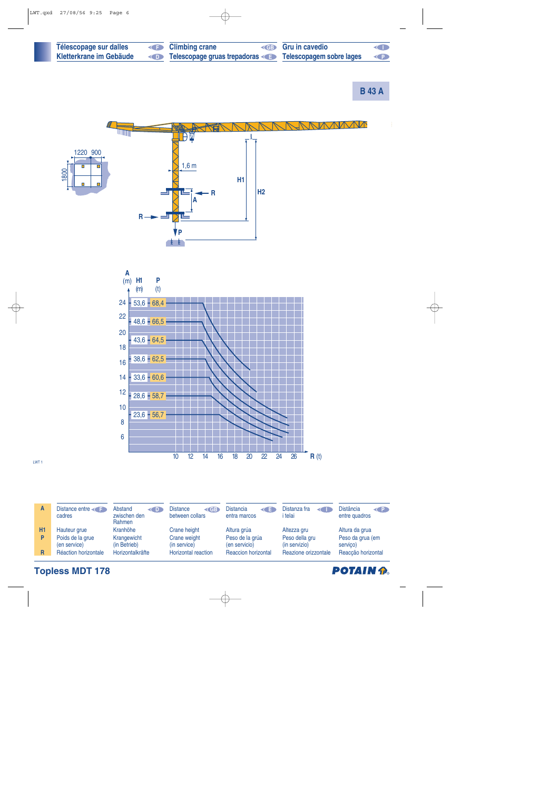| Télescopage sur dalles  | <b>E</b> Climbing crane                               | <b>ED</b> Gru in cavedio | O          |
|-------------------------|-------------------------------------------------------|--------------------------|------------|
| Kletterkrane im Gebäude | Telescopage gruas trepadoras Telescopagem sobre lages |                          | $\left($ P |

**B 43 A**



LWT 1

**Topless MDT 178**

| Α  | Distance entre<br>cadres         | Abstand<br>$\left($ D<br>zwischen den<br>Rahmen | Distance<br>$\triangleleft$ GB<br>between collars | <b>Distancia</b><br>K E<br>entra marcos | Distanza fra<br>i telai         | <b>Distância</b><br>$\left( 1\right)$<br>entre quadros |
|----|----------------------------------|-------------------------------------------------|---------------------------------------------------|-----------------------------------------|---------------------------------|--------------------------------------------------------|
| H1 | Hauteur grue                     | Kranhöhe                                        | Crane height                                      | Altura grúa                             | Altezza gru                     | Altura da grua                                         |
| P  | Poids de la grue<br>(en service) | Krangewicht<br>(in Betrieb)                     | Crane weight<br>(in service)                      | Peso de la grúa<br>(en servicio)        | Peso della gru<br>(in servizio) | Peso da grua (em<br>servico)                           |
| R  | Réaction horizontale             | Horizontalkräfte                                | Horizontal reaction                               | <b>Reaccion horizontal</b>              | Reazione orizzontale            | Reacção horizontal                                     |

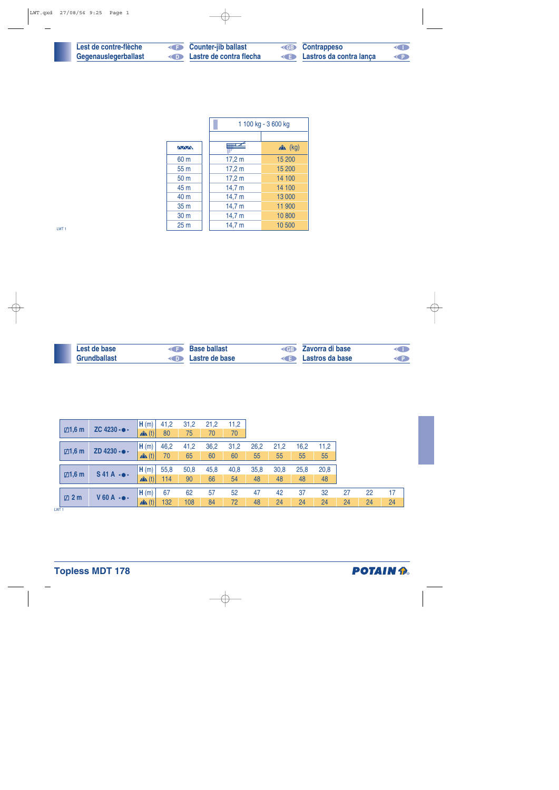| Lest de contre-flèche |
|-----------------------|
| Gegenauslegerballast  |

**Lessey Counter-jib ballast**<br> **Example 2** Lastre de contra flec **Lastre de contra flecha**  **GB Contrappeso Lastros da contra lança** 

**I**

|                 |        | 1 100 kg - 3 600 kg |
|-----------------|--------|---------------------|
|                 |        |                     |
| <b>AVVN</b>     |        | $x^2$ (kg)          |
| 60 m            | 17,2 m | 15 200              |
| 55 m            | 17,2 m | 15 200              |
| 50 m            | 17,2 m | 14 100              |
| 45 m            | 14,7 m | 14 100              |
| 40 m            | 14,7 m | 13 000              |
| 35 m            | 14,7 m | 11 900              |
| 30 m            | 14,7 m | 10 800              |
| 25 <sub>m</sub> | 14,7 m | 10 500              |

LWT 1

 $\overline{\phantom{a}}$ 

| Lest de base        | Base ballast                    | <b>Example 2</b> Zavorra di base | <b>KID</b> |
|---------------------|---------------------------------|----------------------------------|------------|
| <b>Grundballast</b> | <b>Example 2</b> Lastre de base | <b>E</b> Lastros da base         |            |

|                                    |                        | H(m)             | 41,2 | 31,2 | 21,2 | 11,2 |      |      |      |      |    |    |    |
|------------------------------------|------------------------|------------------|------|------|------|------|------|------|------|------|----|----|----|
| ZC 4230 $\cdot$<br>$\boxdot$ 1,6 m |                        | $\mathbf{A}$ (t) | 80   | 75   | 70   | 70   |      |      |      |      |    |    |    |
|                                    |                        | H(m)             | 46,2 | 41,2 | 36,2 | 31,2 | 26,2 | 21,2 | 16,2 | 11,2 |    |    |    |
| $\boxtimes$ 1,6 m                  | ZD 4230 - •            | $\mathbf{A}$ (t) | 70   | 65   | 60   | 60   | 55   | 55   | 55   | 55   |    |    |    |
|                                    |                        |                  |      |      |      |      |      |      |      |      |    |    |    |
| $\boxdot$ 1,6 m                    | $S$ 41A $\rightarrow$  | H(m)             | 55,8 | 50,8 | 45,8 | 40,8 | 35,8 | 30,8 | 25,8 | 20,8 |    |    |    |
|                                    |                        | $\mathbf{A}$ (t) | 114  | 90   | 66   | 54   | 48   | 48   | 48   | 48   |    |    |    |
|                                    |                        |                  |      |      |      |      |      |      |      |      |    |    |    |
|                                    | $V$ 60 A $\rightarrow$ | H(m)             | 67   | 62   | 57   | 52   | 47   | 42   | 37   | 32   | 27 | 22 | 17 |
| $\boxtimes$ 2 m                    |                        | $x^2$ (t)        | 132  | 108  | 84   | 72   | 48   | 24   | 24   | 24   | 24 | 24 | 24 |

 $LWT 1$